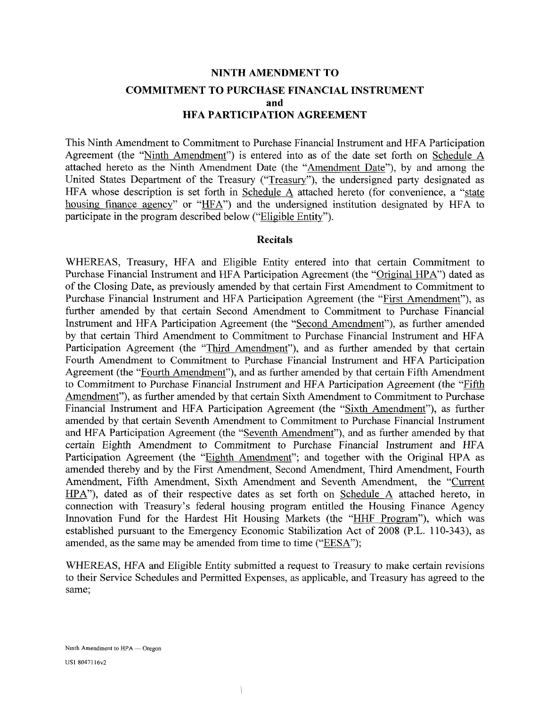## **NINTH AMENDMENT TO COMMITMENT TO PURCHASE FINANCIAL INSTRUMENT and HFA PARTICIPATION AGREEMENT**

This Ninth Amendment to Commitment to Purchase Financial Instrument and HFA Participation Agreement (the "Ninth Amendment") is entered into as of the date set forth on Schedule  $\overline{A}$ attached hereto as the Ninth Amendment Date (the "Amendment Date"), by and among the United States Department of the Treasury ("Treasury"), the undersigned party designated as HFA whose description is set forth in Schedule A attached hereto (for convenience, a "state housing finance agency" or "HFA") and the undersigned institution designated by HFA to participate in the program described below ("Eligible Entity").

#### **Recitals**

WHEREAS, Treasury, HFA and Eligible Entity entered into that certain Commitment to Purchase Financial Instrument and HFA Participation Agreement (the "Original HPA") dated as of the Closing Date, as previously amended by that certain First Amendment to Commitment to Purchase Financial Instrument and HFA Participation Agreement (the "First Amendment"), as further amended by that certain Second Amendment to Commitment to Purchase Financial Instrument and HFA Participation Agreement (the "Second Amendment"), as further amended by that certain Third Amendment to Commitment to Purchase Financial Instrument and HFA Participation Agreement (the "Third Amendment"), and as further amended by that certain Fourth Amendment to Commitment to Purchase Financial Instrument and HFA Participation Agreement (the "Fourth Amendment"), and as further amended by that certain Fifth Amendment to Commitment to Purchase Financial Instrument and HFA Participation Agreement (the "Fifth Amendment"), as further amended by that certain Sixth Amendment to Commitment to Purchase Financial Instrument and HFA Participation Agreement (the "Sixth Amendment"), as further amended by that certain Seventh Amendment to Commitment to Purchase Financial Instrument and HFA Participation Agreement (the "Seventh Amendment"), and as further amended by that certain Eighth Amendment to Commitment to Purchase Financial Instrument and HFA Participation Agreement (the "Eighth Amendment"; and together with the Original HPA as amended thereby and by the First Amendment, Second Amendment, Third Amendment, Fourth Amendment, Fifth Amendment, Sixth Amendment and Seventh Amendment, the "Current HPA"), dated as of their respective dates as set forth on Schedule A attached hereto, in connection with Treasury's federal housing program entitled the Housing Finance Agency Innovation Fund for the Hardest Hit Housing Markets (the "HHF Program"), which was established pursuant to the Emergency Economic Stabilization Act of 2008 (P.L. 110-343), as amended, as the same may be amended from time to time ("EESA");

WHEREAS, HFA and Eligible Entity submitted a request to Treasury to make certain revisions to their Service Schedules and Permitted Expenses, as applicable, and Treasury has agreed to the same;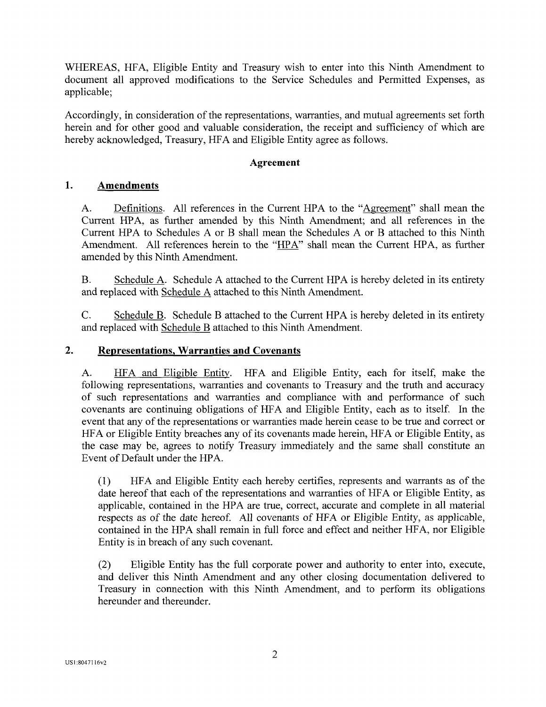WHEREAS, HFA, Eligible Entity and Treasury wish to enter into this Ninth Amendment to document all approved modifications to the Service Schedules and Permitted Expenses, as applicable;

Accordingly, in consideration of the representations, warranties, and mutual agreements set forth herein and for other good and valuable consideration, the receipt and sufficiency of which are hereby acknowledged, Treasury, HFA and Eligible Entity agree as follows.

#### **Agreement**

#### **1. Amendments**

A. Definitions. All references in the Current HPA to the "Agreement" shall mean the Current HPA, as further amended by this Ninth Amendment; and all references in the Current HPA to Schedules A or B shall mean the Schedules A or B attached to this Ninth Amendment. All references herein to the "HPA" shall mean the Current HPA, as further amended by this Ninth Amendment.

B. Schedule A. Schedule A attached to the Current HPA is hereby deleted in its entirety and replaced with Schedule A attached to this Ninth Amendment.

C. Schedule B. Schedule B attached to the Current HPA is hereby deleted in its entirety and replaced with Schedule B attached to this Ninth Amendment.

#### **2. Representations, Warranties and Covenants**

A. HFA and Eligible Entity. HFA and Eligible Entity, each for itself, make the following representations, warranties and covenants to Treasury and the truth and accuracy of such representations and warranties and compliance with and performance of such covenants are continuing obligations of HFA and Eligible Entity, each as to itself. In the event that any of the representations or warranties made herein cease to be true and correct or HFA or Eligible Entity breaches any of its covenants made herein, HFA or Eligible Entity, as the case may be, agrees to notify Treasury immediately and the same shall constitute an Event of Default under the HPA.

(1) HFA and Eligible Entity each hereby certifies, represents and warrants as of the date hereof that each of the representations and warranties of HFA or Eligible Entity, as applicable, contained in the HPA are true, correct, accurate and complete in all material respects as of the date hereof. All covenants of HFA or Eligible Entity, as applicable, contained in the HPA shall remain in full force and effect and neither HFA, nor Eligible Entity is in breach of any such covenant.

(2) Eligible Entity has the full corporate power and authority to enter into, execute, and deliver this Ninth Amendment and any other closing documentation delivered to Treasury in connection with this Ninth Amendment, and to perform its obligations hereunder and thereunder.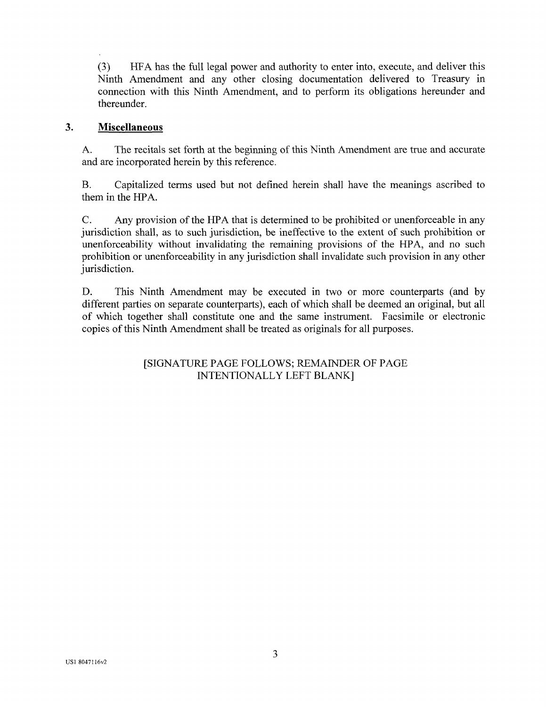(3) HFA has the full legal power and authority to enter into, execute, and deliver this Ninth Amendment and any other closing documentation delivered to Treasury in connection with this Ninth Amendment, and to perform its obligations hereunder and thereunder.

#### $\overline{3}$ . **Miscellaneous**

A. The recitals set forth at the beginning of this Ninth Amendment are true and accurate and are incorporated herein by this reference.

B. Capitalized terms used but not defined herein shall have the meanings ascribed to them in the HPA.

C. Any provision of the HPA that is determined to be prohibited or unenforceable in any jurisdiction shall, as to such jurisdiction, be ineffective to the extent of such prohibition or unenforceability without invalidating the remaining provisions of the HPA, and no such prohibition or unenforceability in any jurisdiction shall invalidate such provision in any other jurisdiction.

D. This Ninth Amendment may be executed in two or more counterparts (and by different parties on separate counterparts), each of which shall be deemed an original, but all of which together shall constitute one and the same instrument. Facsimile or electronic copies of this Ninth Amendment shall be treated as originals for all purposes.

#### [SIGNATURE PAGE FOLLOWS; REMAINDER OF PAGE INTENTIONALLY LEFT BLANK]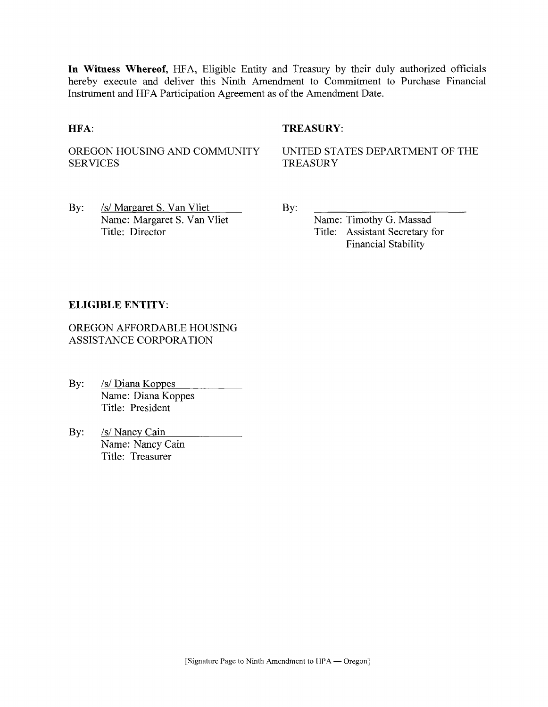**In Witness Whereof,** HFA, Eligible Entity and Treasury by their duly authorized officials hereby execute and deliver this Ninth Amendment to Commitment to Purchase Financial Instrument and HFA Participation Agreement as of the Amendment Date.

#### **HFA:** TREASURY:

OREGON HOUSING AND COMMUNITY **SERVICES** 

UNITED STATES DEPARTMENT OF THE TREASURY

By: /s/ Margaret S. Van Vliet Name: Margaret S. Van Vliet Title: Director

By:

Name: Timothy G. Massad Title: Assistant Secretary for Financial Stability

#### **ELIGIBLE ENTITY:**

OREGON AFFORDABLE HOUSING ASSISTANCE CORPORATION

- By: /s/ Diana Koppes Name: Diana Koppes Title: President
- By: *Is/Nancy Cain* Name: Nancy Cain Title: Treasurer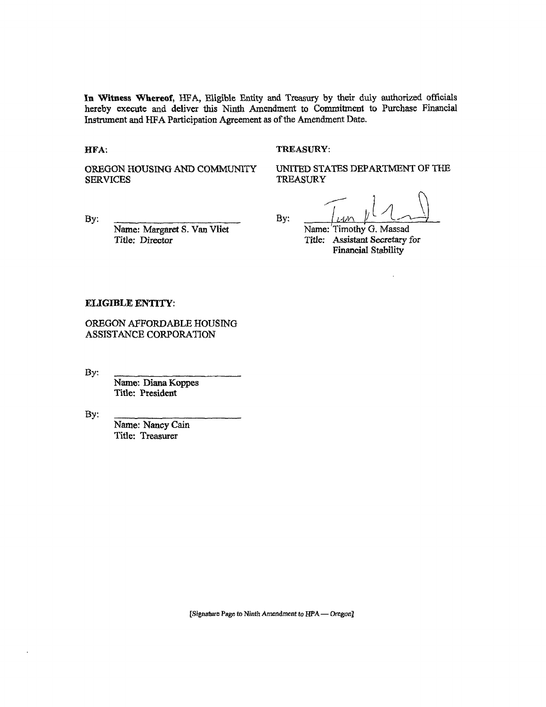In **Witness Whereof,** HFA, Eligible Entity and Treasury by their duly authorized officials hereby execute and deliver this Ninth Amendment to Commitment to Purchase Financial Instrument and HFA Participation Agreement as of the Amendment Date.

By: **/** 

#### HFA: TREASURY:

OREGON HOUSING AND COMMUNITY SERVICES

UNITED STATES DEPARTMENT OF THE **TREASURY** 

**By:** 

Name: Margaret S. Van Vliet Title: Director

Name: Timothy G. Massad Title: Assistant Secretary for Financial Stability

#### **ELIGIBLE ENTITY:**

OREGON AFFORDABLE HOUSING ASSISTANCE CORPORATION

By:

Name: Diana Koppes Title: President

By:

Name: Nancy Cain Title: Treasurer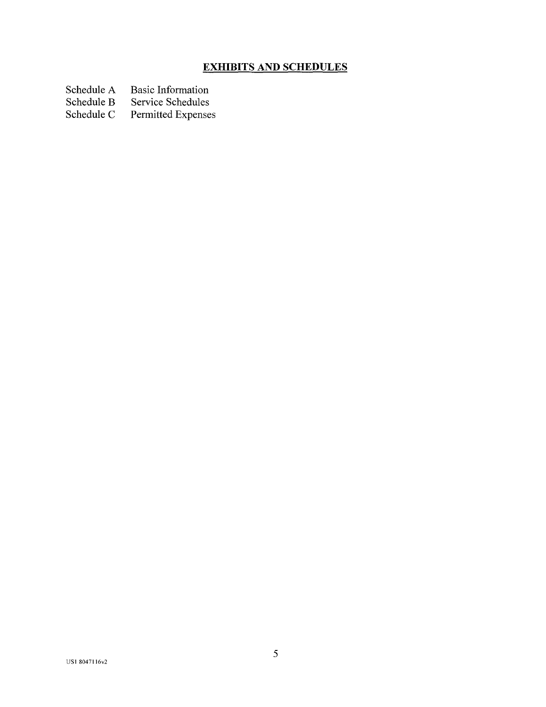## **EXHIBITS AND SCHEDULES**

- Schedule A Basic Information<br>Schedule B Service Schedules
- Schedule B Service Schedules<br>Schedule C Permitted Expense
- Permitted Expenses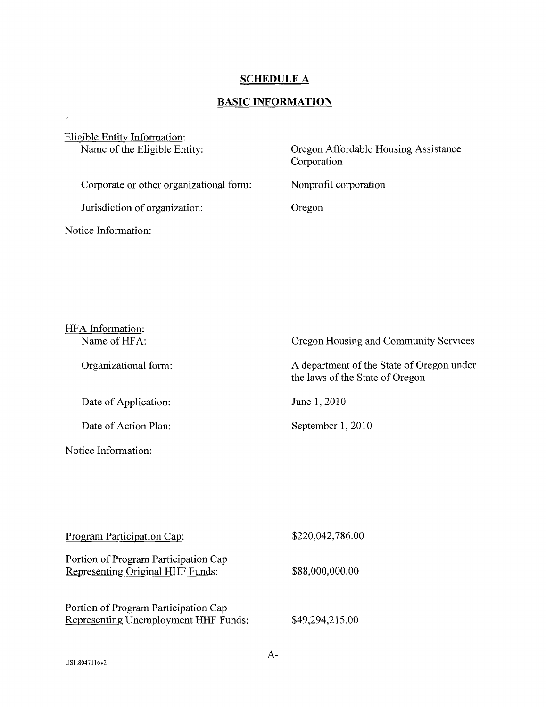#### **SCHEDULE A**

# **BASIC INFORMATION**

| Eligible Entity Information:<br>Name of the Eligible Entity: | Oregon Affordable Housing Assistance<br>Corporation |
|--------------------------------------------------------------|-----------------------------------------------------|
| Corporate or other organizational form:                      | Nonprofit corporation                               |
| Jurisdiction of organization:                                | Oregon                                              |
| Notice Information:                                          |                                                     |

| HFA Information:     |                                                                              |
|----------------------|------------------------------------------------------------------------------|
| Name of HFA:         | Oregon Housing and Community Services                                        |
| Organizational form: | A department of the State of Oregon under<br>the laws of the State of Oregon |
| Date of Application: | June 1, 2010                                                                 |
| Date of Action Plan: | September 1, 2010                                                            |
| Notice Information:  |                                                                              |

| Program Participation Cap:                                                   | \$220,042,786.00 |
|------------------------------------------------------------------------------|------------------|
| Portion of Program Participation Cap<br>Representing Original HHF Funds:     | \$88,000,000.00  |
| Portion of Program Participation Cap<br>Representing Unemployment HHF Funds: | \$49,294,215.00  |

 $\mathcal{L}^{\text{max}}_{\text{max}}$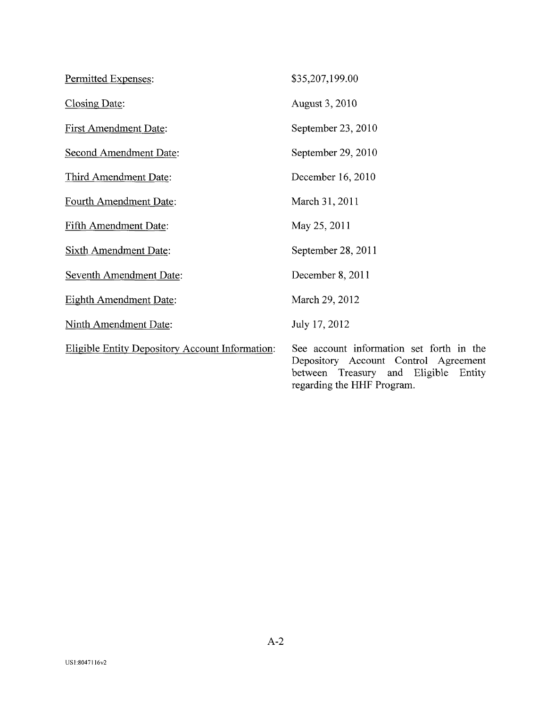| Permitted Expenses:                                    | \$35,207,199.00                                                                                                                                           |
|--------------------------------------------------------|-----------------------------------------------------------------------------------------------------------------------------------------------------------|
| Closing Date:                                          | August 3, 2010                                                                                                                                            |
| <b>First Amendment Date:</b>                           | September 23, 2010                                                                                                                                        |
| Second Amendment Date:                                 | September 29, 2010                                                                                                                                        |
| Third Amendment Date:                                  | December 16, 2010                                                                                                                                         |
| Fourth Amendment Date:                                 | March 31, 2011                                                                                                                                            |
| <b>Fifth Amendment Date:</b>                           | May 25, 2011                                                                                                                                              |
| <b>Sixth Amendment Date:</b>                           | September 28, 2011                                                                                                                                        |
| <b>Seventh Amendment Date:</b>                         | December 8, 2011                                                                                                                                          |
| <b>Eighth Amendment Date:</b>                          | March 29, 2012                                                                                                                                            |
| <b>Ninth Amendment Date:</b>                           | July 17, 2012                                                                                                                                             |
| <b>Eligible Entity Depository Account Information:</b> | See account information set forth in the<br>Depository Account Control Agreement<br>between Treasury and Eligible<br>Entity<br>regarding the HHF Program. |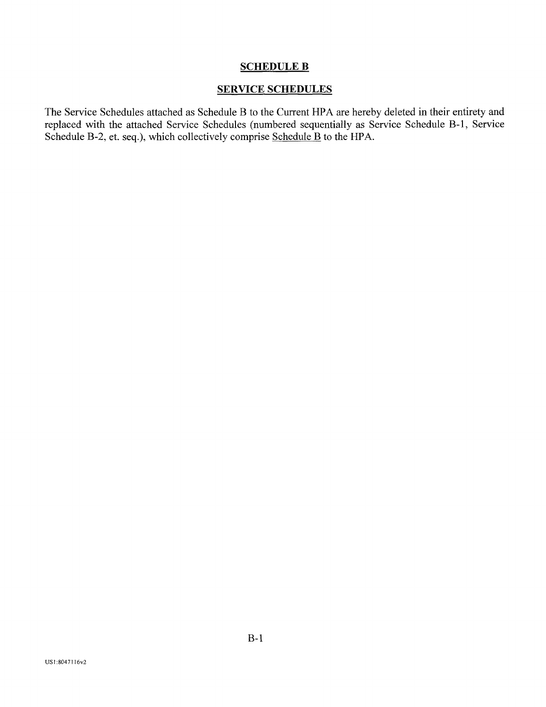#### SCHEDULE B

#### SERVICE SCHEDULES

The Service Schedules attached as Schedule B to the Current HPA are hereby deleted in their entirety and replaced with the attached Service Schedules (numbered sequentially as Service Schedule B-l, Service Schedule B-2, et. seq.), which collectively comprise Schedule B to the HPA.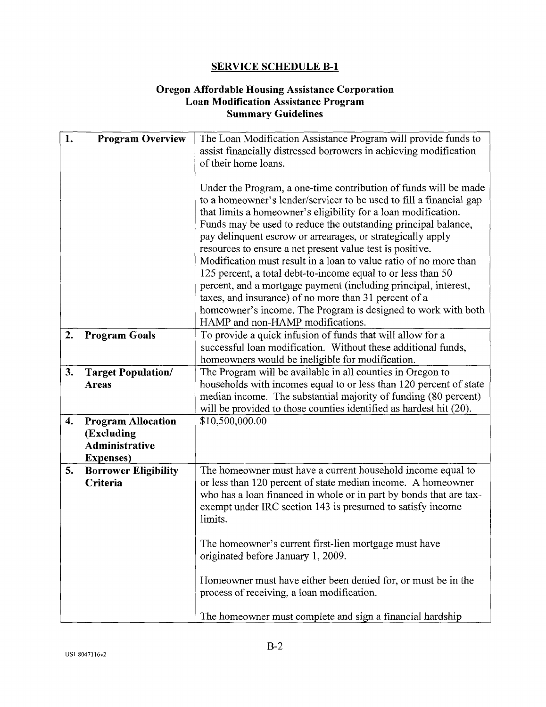#### **Oregon Affordable Housing Assistance Corporation Loan Modification Assistance Program Summary Guidelines**

| 1. | <b>Program Overview</b>                                                        | The Loan Modification Assistance Program will provide funds to<br>assist financially distressed borrowers in achieving modification<br>of their home loans.                                                                                                                                                                                                                                                                                                                                                                                                                                                                                                                                                                                                                   |
|----|--------------------------------------------------------------------------------|-------------------------------------------------------------------------------------------------------------------------------------------------------------------------------------------------------------------------------------------------------------------------------------------------------------------------------------------------------------------------------------------------------------------------------------------------------------------------------------------------------------------------------------------------------------------------------------------------------------------------------------------------------------------------------------------------------------------------------------------------------------------------------|
|    |                                                                                | Under the Program, a one-time contribution of funds will be made<br>to a homeowner's lender/servicer to be used to fill a financial gap<br>that limits a homeowner's eligibility for a loan modification.<br>Funds may be used to reduce the outstanding principal balance,<br>pay delinquent escrow or arrearages, or strategically apply<br>resources to ensure a net present value test is positive.<br>Modification must result in a loan to value ratio of no more than<br>125 percent, a total debt-to-income equal to or less than 50<br>percent, and a mortgage payment (including principal, interest,<br>taxes, and insurance) of no more than 31 percent of a<br>homeowner's income. The Program is designed to work with both<br>HAMP and non-HAMP modifications. |
| 2. | <b>Program Goals</b>                                                           | To provide a quick infusion of funds that will allow for a<br>successful loan modification. Without these additional funds,<br>homeowners would be ineligible for modification.                                                                                                                                                                                                                                                                                                                                                                                                                                                                                                                                                                                               |
| 3. | <b>Target Population/</b><br><b>Areas</b>                                      | The Program will be available in all counties in Oregon to<br>households with incomes equal to or less than 120 percent of state<br>median income. The substantial majority of funding (80 percent)<br>will be provided to those counties identified as hardest hit (20).                                                                                                                                                                                                                                                                                                                                                                                                                                                                                                     |
| 4. | <b>Program Allocation</b><br>(Excluding<br>Administrative<br><b>Expenses</b> ) | \$10,500,000.00                                                                                                                                                                                                                                                                                                                                                                                                                                                                                                                                                                                                                                                                                                                                                               |
| 5. | <b>Borrower Eligibility</b><br>Criteria                                        | The homeowner must have a current household income equal to<br>or less than 120 percent of state median income. A homeowner<br>who has a loan financed in whole or in part by bonds that are tax-<br>exempt under IRC section 143 is presumed to satisfy income<br>limits.                                                                                                                                                                                                                                                                                                                                                                                                                                                                                                    |
|    |                                                                                | The homeowner's current first-lien mortgage must have<br>originated before January 1, 2009.                                                                                                                                                                                                                                                                                                                                                                                                                                                                                                                                                                                                                                                                                   |
|    |                                                                                | Homeowner must have either been denied for, or must be in the<br>process of receiving, a loan modification.                                                                                                                                                                                                                                                                                                                                                                                                                                                                                                                                                                                                                                                                   |
|    |                                                                                | The homeowner must complete and sign a financial hardship                                                                                                                                                                                                                                                                                                                                                                                                                                                                                                                                                                                                                                                                                                                     |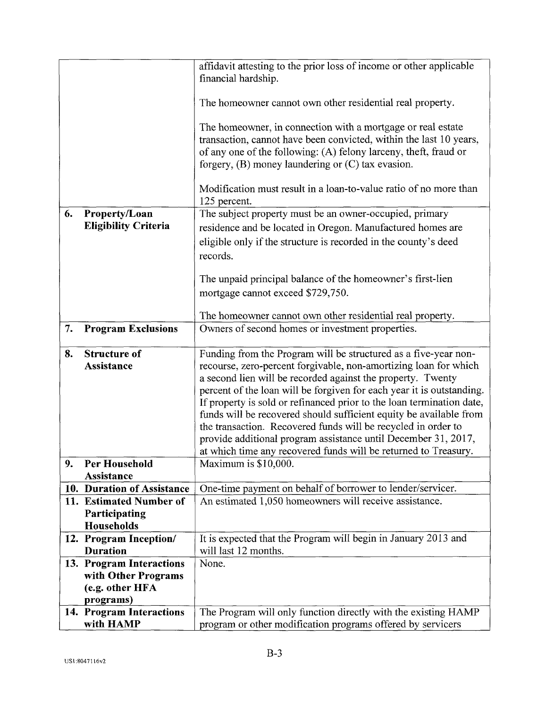|    |                                           | affidavit attesting to the prior loss of income or other applicable                                                                 |
|----|-------------------------------------------|-------------------------------------------------------------------------------------------------------------------------------------|
|    |                                           | financial hardship.                                                                                                                 |
|    |                                           | The homeowner cannot own other residential real property.                                                                           |
|    |                                           | The homeowner, in connection with a mortgage or real estate                                                                         |
|    |                                           | transaction, cannot have been convicted, within the last 10 years,                                                                  |
|    |                                           | of any one of the following: (A) felony larceny, theft, fraud or                                                                    |
|    |                                           | forgery, $(B)$ money laundering or $(C)$ tax evasion.                                                                               |
|    |                                           | Modification must result in a loan-to-value ratio of no more than                                                                   |
|    |                                           | 125 percent.                                                                                                                        |
| 6. | Property/Loan                             | The subject property must be an owner-occupied, primary                                                                             |
|    | <b>Eligibility Criteria</b>               | residence and be located in Oregon. Manufactured homes are                                                                          |
|    |                                           | eligible only if the structure is recorded in the county's deed                                                                     |
|    |                                           | records.                                                                                                                            |
|    |                                           |                                                                                                                                     |
|    |                                           | The unpaid principal balance of the homeowner's first-lien                                                                          |
|    |                                           | mortgage cannot exceed \$729,750.                                                                                                   |
|    |                                           | The homeowner cannot own other residential real property.                                                                           |
| 7. | <b>Program Exclusions</b>                 | Owners of second homes or investment properties.                                                                                    |
|    |                                           |                                                                                                                                     |
| 8. | <b>Structure of</b><br><b>Assistance</b>  | Funding from the Program will be structured as a five-year non-<br>recourse, zero-percent forgivable, non-amortizing loan for which |
|    |                                           | a second lien will be recorded against the property. Twenty                                                                         |
|    |                                           | percent of the loan will be forgiven for each year it is outstanding.                                                               |
|    |                                           | If property is sold or refinanced prior to the loan termination date,                                                               |
|    |                                           | funds will be recovered should sufficient equity be available from                                                                  |
|    |                                           | the transaction. Recovered funds will be recycled in order to                                                                       |
|    |                                           | provide additional program assistance until December 31, 2017,                                                                      |
|    |                                           | at which time any recovered funds will be returned to Treasury.                                                                     |
| 9. | <b>Per Household</b><br><b>Assistance</b> | Maximum is \$10,000.                                                                                                                |
|    | 10. Duration of Assistance                | One-time payment on behalf of borrower to lender/servicer.                                                                          |
|    | 11. Estimated Number of                   | An estimated 1,050 homeowners will receive assistance.                                                                              |
|    | Participating                             |                                                                                                                                     |
|    | Households                                |                                                                                                                                     |
|    | 12. Program Inception/                    | It is expected that the Program will begin in January 2013 and                                                                      |
|    | <b>Duration</b>                           | will last 12 months.                                                                                                                |
|    | 13. Program Interactions                  | None.                                                                                                                               |
|    | with Other Programs                       |                                                                                                                                     |
|    | (e.g. other HFA<br>programs)              |                                                                                                                                     |
|    | 14. Program Interactions                  | The Program will only function directly with the existing HAMP                                                                      |
|    | with HAMP                                 | program or other modification programs offered by servicers                                                                         |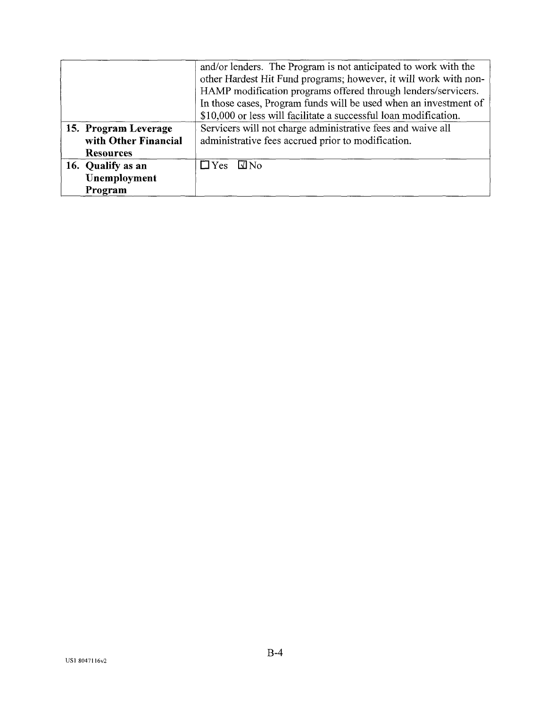|                      | and/or lenders. The Program is not anticipated to work with the  |
|----------------------|------------------------------------------------------------------|
|                      | other Hardest Hit Fund programs; however, it will work with non- |
|                      | HAMP modification programs offered through lenders/servicers.    |
|                      | In those cases, Program funds will be used when an investment of |
|                      | \$10,000 or less will facilitate a successful loan modification. |
| 15. Program Leverage | Servicers will not charge administrative fees and waive all      |
| with Other Financial | administrative fees accrued prior to modification.               |
| <b>Resources</b>     |                                                                  |
| 16. Qualify as an    | $\Box$ Yes $\Box$ No                                             |
| Unemployment         |                                                                  |
| Program              |                                                                  |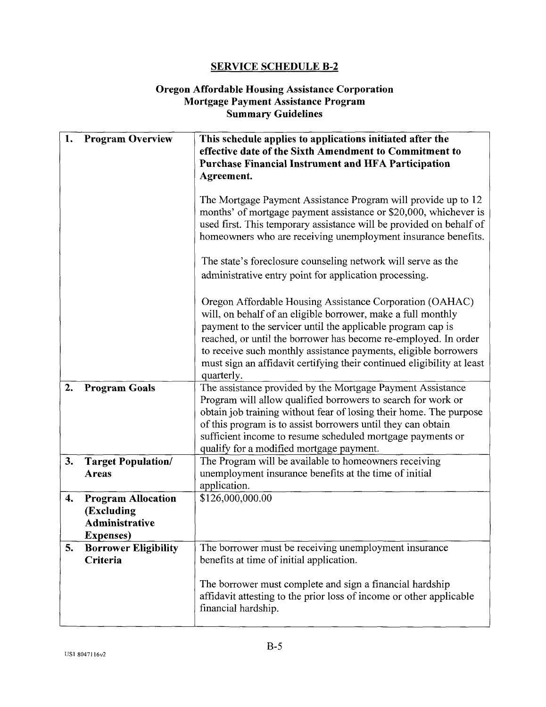#### **Oregon Affordable Housing Assistance Corporation Mortgage Payment Assistance Program Summary Guidelines**

| 1. | <b>Program Overview</b>                                                        | This schedule applies to applications initiated after the<br>effective date of the Sixth Amendment to Commitment to<br><b>Purchase Financial Instrument and HFA Participation</b><br>Agreement.                                                                                                                                                                                                                       |
|----|--------------------------------------------------------------------------------|-----------------------------------------------------------------------------------------------------------------------------------------------------------------------------------------------------------------------------------------------------------------------------------------------------------------------------------------------------------------------------------------------------------------------|
|    |                                                                                | The Mortgage Payment Assistance Program will provide up to 12<br>months' of mortgage payment assistance or \$20,000, whichever is<br>used first. This temporary assistance will be provided on behalf of<br>homeowners who are receiving unemployment insurance benefits.                                                                                                                                             |
|    |                                                                                | The state's foreclosure counseling network will serve as the<br>administrative entry point for application processing.                                                                                                                                                                                                                                                                                                |
|    |                                                                                | Oregon Affordable Housing Assistance Corporation (OAHAC)<br>will, on behalf of an eligible borrower, make a full monthly<br>payment to the servicer until the applicable program cap is<br>reached, or until the borrower has become re-employed. In order<br>to receive such monthly assistance payments, eligible borrowers<br>must sign an affidavit certifying their continued eligibility at least<br>quarterly. |
| 2. | <b>Program Goals</b>                                                           | The assistance provided by the Mortgage Payment Assistance<br>Program will allow qualified borrowers to search for work or<br>obtain job training without fear of losing their home. The purpose<br>of this program is to assist borrowers until they can obtain<br>sufficient income to resume scheduled mortgage payments or<br>qualify for a modified mortgage payment.                                            |
| 3. | <b>Target Population/</b><br><b>Areas</b>                                      | The Program will be available to homeowners receiving<br>unemployment insurance benefits at the time of initial<br>application.                                                                                                                                                                                                                                                                                       |
| 4. | <b>Program Allocation</b><br>(Excluding<br>Administrative<br><b>Expenses</b> ) | \$126,000,000.00                                                                                                                                                                                                                                                                                                                                                                                                      |
| 5. | <b>Borrower Eligibility</b><br>Criteria                                        | The borrower must be receiving unemployment insurance<br>benefits at time of initial application.                                                                                                                                                                                                                                                                                                                     |
|    |                                                                                | The borrower must complete and sign a financial hardship<br>affidavit attesting to the prior loss of income or other applicable<br>financial hardship.                                                                                                                                                                                                                                                                |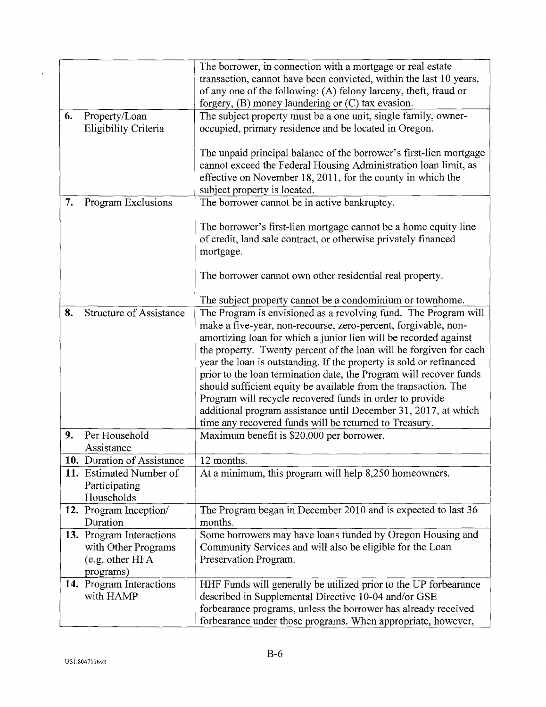|    |                                | The borrower, in connection with a mortgage or real estate          |
|----|--------------------------------|---------------------------------------------------------------------|
|    |                                | transaction, cannot have been convicted, within the last 10 years,  |
|    |                                | of any one of the following: (A) felony larceny, theft, fraud or    |
|    |                                | forgery, (B) money laundering or (C) tax evasion.                   |
| 6. | Property/Loan                  | The subject property must be a one unit, single family, owner-      |
|    | Eligibility Criteria           | occupied, primary residence and be located in Oregon.               |
|    |                                |                                                                     |
|    |                                | The unpaid principal balance of the borrower's first-lien mortgage  |
|    |                                | cannot exceed the Federal Housing Administration loan limit, as     |
|    |                                | effective on November 18, 2011, for the county in which the         |
|    |                                | subject property is located.                                        |
| 7. | Program Exclusions             | The borrower cannot be in active bankruptcy.                        |
|    |                                |                                                                     |
|    |                                | The borrower's first-lien mortgage cannot be a home equity line     |
|    |                                |                                                                     |
|    |                                | of credit, land sale contract, or otherwise privately financed      |
|    |                                | mortgage.                                                           |
|    |                                |                                                                     |
|    |                                | The borrower cannot own other residential real property.            |
|    |                                |                                                                     |
|    |                                | The subject property cannot be a condominium or townhome.           |
| 8. | <b>Structure of Assistance</b> | The Program is envisioned as a revolving fund. The Program will     |
|    |                                | make a five-year, non-recourse, zero-percent, forgivable, non-      |
|    |                                | amortizing loan for which a junior lien will be recorded against    |
|    |                                | the property. Twenty percent of the loan will be forgiven for each  |
|    |                                | year the loan is outstanding. If the property is sold or refinanced |
|    |                                | prior to the loan termination date, the Program will recover funds  |
|    |                                | should sufficient equity be available from the transaction. The     |
|    |                                | Program will recycle recovered funds in order to provide            |
|    |                                | additional program assistance until December 31, 2017, at which     |
|    |                                | time any recovered funds will be returned to Treasury.              |
| 9. | Per Household                  | Maximum benefit is \$20,000 per borrower.                           |
|    | Assistance                     |                                                                     |
|    | 10. Duration of Assistance     | 12 months.                                                          |
|    | 11. Estimated Number of        | At a minimum, this program will help 8,250 homeowners.              |
|    | Participating                  |                                                                     |
|    | Households                     |                                                                     |
|    | 12. Program Inception/         | The Program began in December 2010 and is expected to last 36       |
|    | Duration                       | months.                                                             |
|    | 13. Program Interactions       | Some borrowers may have loans funded by Oregon Housing and          |
|    | with Other Programs            | Community Services and will also be eligible for the Loan           |
|    | (e.g. other HFA                | Preservation Program.                                               |
|    | programs)                      |                                                                     |
|    | 14. Program Interactions       | HHF Funds will generally be utilized prior to the UP forbearance    |
|    | with HAMP                      | described in Supplemental Directive 10-04 and/or GSE                |
|    |                                | forbearance programs, unless the borrower has already received      |
|    |                                | forbearance under those programs. When appropriate, however,        |
|    |                                |                                                                     |

 $\mathcal{L}(\mathcal{A})$  .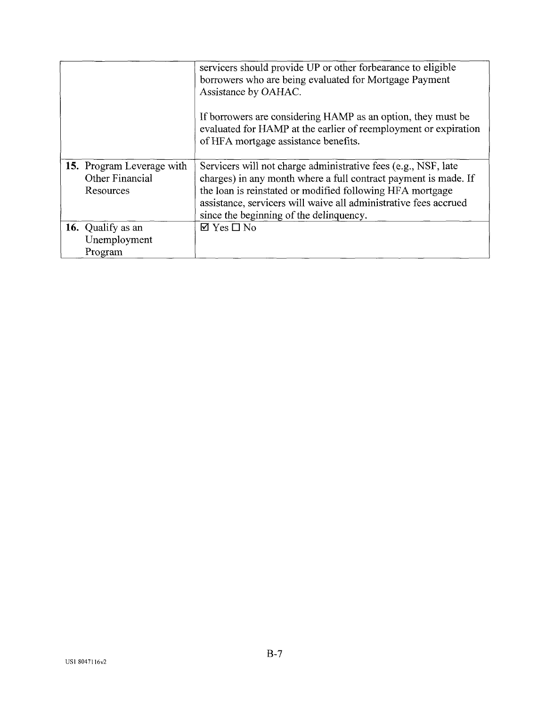|                                                           | servicers should provide UP or other forbearance to eligible<br>borrowers who are being evaluated for Mortgage Payment<br>Assistance by OAHAC.                                                                                                                                                                |
|-----------------------------------------------------------|---------------------------------------------------------------------------------------------------------------------------------------------------------------------------------------------------------------------------------------------------------------------------------------------------------------|
|                                                           | If borrowers are considering HAMP as an option, they must be<br>evaluated for HAMP at the earlier of reemployment or expiration<br>of HFA mortgage assistance benefits.                                                                                                                                       |
| 15. Program Leverage with<br>Other Financial<br>Resources | Servicers will not charge administrative fees (e.g., NSF, late<br>charges) in any month where a full contract payment is made. If<br>the loan is reinstated or modified following HFA mortgage<br>assistance, servicers will waive all administrative fees accrued<br>since the beginning of the delinquency. |
| 16. Qualify as an<br>Unemployment<br>Program              | $\boxtimes$ Yes $\square$ No                                                                                                                                                                                                                                                                                  |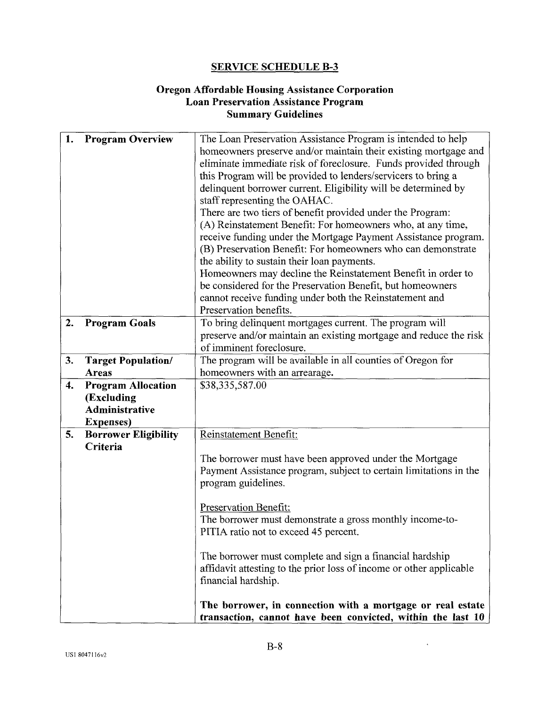#### **Oregon Affordable Housing Assistance Corporation Loan Preservation Assistance Program Summary Guidelines**

| 1.                 | <b>Program Overview</b>     | The Loan Preservation Assistance Program is intended to help        |
|--------------------|-----------------------------|---------------------------------------------------------------------|
|                    |                             | homeowners preserve and/or maintain their existing mortgage and     |
|                    |                             | eliminate immediate risk of foreclosure. Funds provided through     |
|                    |                             | this Program will be provided to lenders/servicers to bring a       |
|                    |                             | delinquent borrower current. Eligibility will be determined by      |
|                    |                             | staff representing the OAHAC.                                       |
|                    |                             | There are two tiers of benefit provided under the Program:          |
|                    |                             | (A) Reinstatement Benefit: For homeowners who, at any time,         |
|                    |                             | receive funding under the Mortgage Payment Assistance program.      |
|                    |                             | (B) Preservation Benefit: For homeowners who can demonstrate        |
|                    |                             | the ability to sustain their loan payments.                         |
|                    |                             | Homeowners may decline the Reinstatement Benefit in order to        |
|                    |                             | be considered for the Preservation Benefit, but homeowners          |
|                    |                             | cannot receive funding under both the Reinstatement and             |
|                    |                             | Preservation benefits.                                              |
| 2.                 | <b>Program Goals</b>        | To bring delinquent mortgages current. The program will             |
|                    |                             | preserve and/or maintain an existing mortgage and reduce the risk   |
|                    |                             | of imminent foreclosure.                                            |
| 3.                 | <b>Target Population/</b>   | The program will be available in all counties of Oregon for         |
|                    | <b>Areas</b>                | homeowners with an arrearage.                                       |
| $\boldsymbol{4}$ . | <b>Program Allocation</b>   | \$38,335,587.00                                                     |
|                    | (Excluding                  |                                                                     |
|                    | Administrative              |                                                                     |
|                    | <b>Expenses</b> )           |                                                                     |
| 5.                 | <b>Borrower Eligibility</b> | Reinstatement Benefit:                                              |
|                    | Criteria                    |                                                                     |
|                    |                             | The borrower must have been approved under the Mortgage             |
|                    |                             | Payment Assistance program, subject to certain limitations in the   |
|                    |                             | program guidelines.                                                 |
|                    |                             |                                                                     |
|                    |                             | Preservation Benefit:                                               |
|                    |                             | The borrower must demonstrate a gross monthly income-to-            |
|                    |                             | PITIA ratio not to exceed 45 percent.                               |
|                    |                             | The borrower must complete and sign a financial hardship            |
|                    |                             | affidavit attesting to the prior loss of income or other applicable |
|                    |                             | financial hardship.                                                 |
|                    |                             |                                                                     |
|                    |                             | The borrower, in connection with a mortgage or real estate          |
|                    |                             | transaction, cannot have been convicted, within the last 10         |

 $\ddot{\phantom{1}}$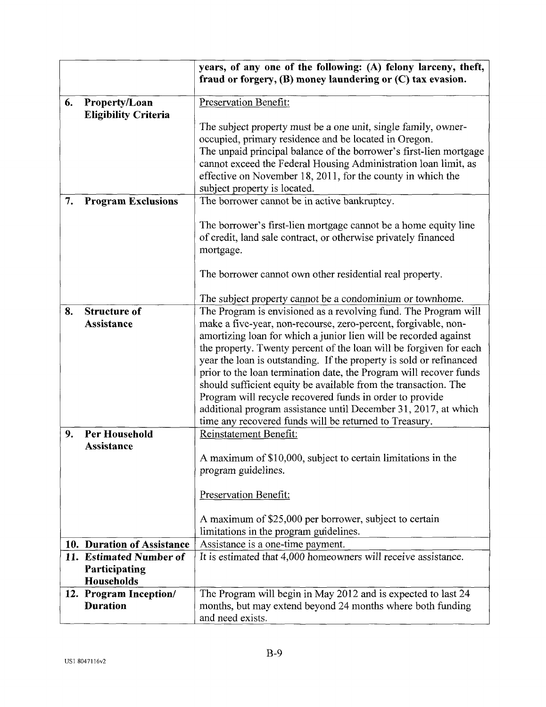|    |                                                        | years, of any one of the following: (A) felony larceny, theft,<br>fraud or forgery, (B) money laundering or (C) tax evasion.                                                                                                                                                                                                                                                                                                                                                                                                                                                                                      |
|----|--------------------------------------------------------|-------------------------------------------------------------------------------------------------------------------------------------------------------------------------------------------------------------------------------------------------------------------------------------------------------------------------------------------------------------------------------------------------------------------------------------------------------------------------------------------------------------------------------------------------------------------------------------------------------------------|
| 6. | Property/Loan                                          | Preservation Benefit:                                                                                                                                                                                                                                                                                                                                                                                                                                                                                                                                                                                             |
|    | <b>Eligibility Criteria</b>                            | The subject property must be a one unit, single family, owner-<br>occupied, primary residence and be located in Oregon.<br>The unpaid principal balance of the borrower's first-lien mortgage<br>cannot exceed the Federal Housing Administration loan limit, as<br>effective on November 18, 2011, for the county in which the<br>subject property is located.                                                                                                                                                                                                                                                   |
| 7. | <b>Program Exclusions</b>                              | The borrower cannot be in active bankruptcy.                                                                                                                                                                                                                                                                                                                                                                                                                                                                                                                                                                      |
|    |                                                        | The borrower's first-lien mortgage cannot be a home equity line<br>of credit, land sale contract, or otherwise privately financed<br>mortgage.                                                                                                                                                                                                                                                                                                                                                                                                                                                                    |
|    |                                                        | The borrower cannot own other residential real property.                                                                                                                                                                                                                                                                                                                                                                                                                                                                                                                                                          |
|    |                                                        | The subject property cannot be a condominium or townhome.                                                                                                                                                                                                                                                                                                                                                                                                                                                                                                                                                         |
| 8. | <b>Structure of</b>                                    | The Program is envisioned as a revolving fund. The Program will                                                                                                                                                                                                                                                                                                                                                                                                                                                                                                                                                   |
|    | Assistance                                             | make a five-year, non-recourse, zero-percent, forgivable, non-<br>amortizing loan for which a junior lien will be recorded against<br>the property. Twenty percent of the loan will be forgiven for each<br>year the loan is outstanding. If the property is sold or refinanced<br>prior to the loan termination date, the Program will recover funds<br>should sufficient equity be available from the transaction. The<br>Program will recycle recovered funds in order to provide<br>additional program assistance until December 31, 2017, at which<br>time any recovered funds will be returned to Treasury. |
| 9. | Per Household<br><b>Assistance</b>                     | Reinstatement Benefit:                                                                                                                                                                                                                                                                                                                                                                                                                                                                                                                                                                                            |
|    |                                                        | A maximum of \$10,000, subject to certain limitations in the<br>program guidelines.<br>Preservation Benefit:                                                                                                                                                                                                                                                                                                                                                                                                                                                                                                      |
|    |                                                        |                                                                                                                                                                                                                                                                                                                                                                                                                                                                                                                                                                                                                   |
|    |                                                        | A maximum of \$25,000 per borrower, subject to certain<br>limitations in the program guidelines.                                                                                                                                                                                                                                                                                                                                                                                                                                                                                                                  |
|    | 10. Duration of Assistance                             | Assistance is a one-time payment.                                                                                                                                                                                                                                                                                                                                                                                                                                                                                                                                                                                 |
|    | 11. Estimated Number of<br>Participating<br>Households | It is estimated that 4,000 homeowners will receive assistance.                                                                                                                                                                                                                                                                                                                                                                                                                                                                                                                                                    |
|    | 12. Program Inception/<br><b>Duration</b>              | The Program will begin in May 2012 and is expected to last 24<br>months, but may extend beyond 24 months where both funding<br>and need exists.                                                                                                                                                                                                                                                                                                                                                                                                                                                                   |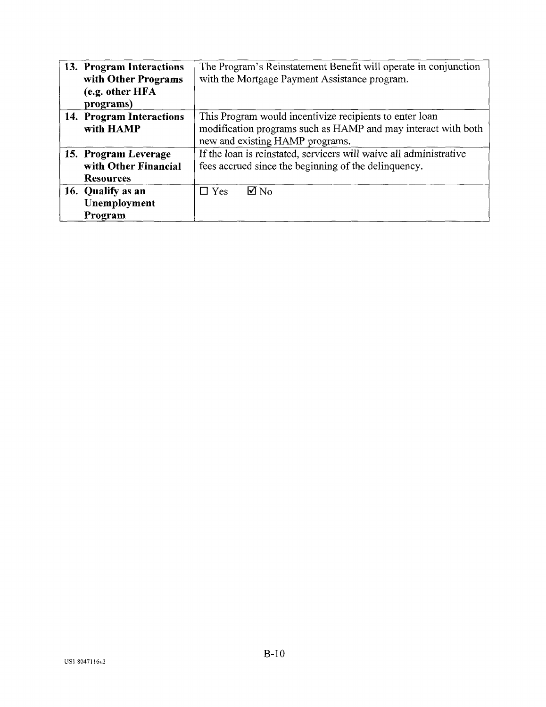| 13. Program Interactions<br>with Other Programs | The Program's Reinstatement Benefit will operate in conjunction<br>with the Mortgage Payment Assistance program. |
|-------------------------------------------------|------------------------------------------------------------------------------------------------------------------|
| (e.g. other HFA<br>programs)                    |                                                                                                                  |
| 14. Program Interactions                        | This Program would incentivize recipients to enter loan                                                          |
| with HAMP                                       | modification programs such as HAMP and may interact with both                                                    |
|                                                 | new and existing HAMP programs.                                                                                  |
| 15. Program Leverage                            | If the loan is reinstated, servicers will waive all administrative                                               |
| with Other Financial                            | fees accrued since the beginning of the delinquency.                                                             |
| <b>Resources</b>                                |                                                                                                                  |
| 16. Qualify as an                               | $\nabla$ No<br>$\Box$ Yes                                                                                        |
| Unemployment                                    |                                                                                                                  |
| Program                                         |                                                                                                                  |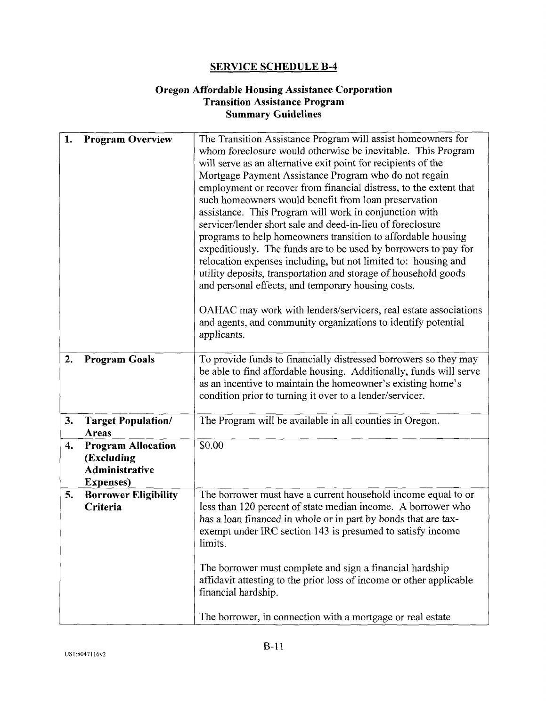#### **Oregon Affordable Housing Assistance Corporation Transition Assistance Program Summary Guidelines**

| 1. | <b>Program Overview</b>                                                               | The Transition Assistance Program will assist homeowners for<br>whom foreclosure would otherwise be inevitable. This Program<br>will serve as an alternative exit point for recipients of the<br>Mortgage Payment Assistance Program who do not regain<br>employment or recover from financial distress, to the extent that<br>such homeowners would benefit from loan preservation<br>assistance. This Program will work in conjunction with<br>servicer/lender short sale and deed-in-lieu of foreclosure<br>programs to help homeowners transition to affordable housing<br>expeditiously. The funds are to be used by borrowers to pay for<br>relocation expenses including, but not limited to: housing and<br>utility deposits, transportation and storage of household goods<br>and personal effects, and temporary housing costs. |
|----|---------------------------------------------------------------------------------------|-------------------------------------------------------------------------------------------------------------------------------------------------------------------------------------------------------------------------------------------------------------------------------------------------------------------------------------------------------------------------------------------------------------------------------------------------------------------------------------------------------------------------------------------------------------------------------------------------------------------------------------------------------------------------------------------------------------------------------------------------------------------------------------------------------------------------------------------|
|    |                                                                                       | OAHAC may work with lenders/servicers, real estate associations<br>and agents, and community organizations to identify potential<br>applicants.                                                                                                                                                                                                                                                                                                                                                                                                                                                                                                                                                                                                                                                                                           |
| 2. | <b>Program Goals</b>                                                                  | To provide funds to financially distressed borrowers so they may<br>be able to find affordable housing. Additionally, funds will serve<br>as an incentive to maintain the homeowner's existing home's<br>condition prior to turning it over to a lender/servicer.                                                                                                                                                                                                                                                                                                                                                                                                                                                                                                                                                                         |
| 3. | <b>Target Population/</b><br>Areas                                                    | The Program will be available in all counties in Oregon.                                                                                                                                                                                                                                                                                                                                                                                                                                                                                                                                                                                                                                                                                                                                                                                  |
| 4. | <b>Program Allocation</b><br>(Excluding<br><b>Administrative</b><br><b>Expenses</b> ) | \$0.00                                                                                                                                                                                                                                                                                                                                                                                                                                                                                                                                                                                                                                                                                                                                                                                                                                    |
| 5. | <b>Borrower Eligibility</b><br>Criteria                                               | The borrower must have a current household income equal to or<br>less than 120 percent of state median income. A borrower who<br>has a loan financed in whole or in part by bonds that are tax-<br>exempt under IRC section 143 is presumed to satisfy income<br>limits.                                                                                                                                                                                                                                                                                                                                                                                                                                                                                                                                                                  |
|    |                                                                                       | The borrower must complete and sign a financial hardship<br>affidavit attesting to the prior loss of income or other applicable<br>financial hardship.                                                                                                                                                                                                                                                                                                                                                                                                                                                                                                                                                                                                                                                                                    |
|    |                                                                                       | The borrower, in connection with a mortgage or real estate                                                                                                                                                                                                                                                                                                                                                                                                                                                                                                                                                                                                                                                                                                                                                                                |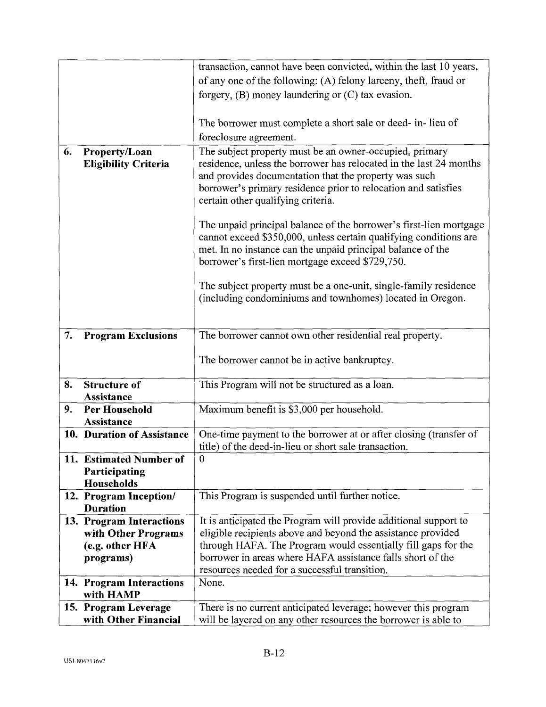| of any one of the following: (A) felony larceny, theft, fraud or<br>forgery, $(B)$ money laundering or $(C)$ tax evasion.<br>The borrower must complete a short sale or deed- in-lieu of<br>foreclosure agreement.<br>The subject property must be an owner-occupied, primary<br>Property/Loan<br>6.<br>residence, unless the borrower has relocated in the last 24 months<br><b>Eligibility Criteria</b><br>and provides documentation that the property was such<br>borrower's primary residence prior to relocation and satisfies |
|--------------------------------------------------------------------------------------------------------------------------------------------------------------------------------------------------------------------------------------------------------------------------------------------------------------------------------------------------------------------------------------------------------------------------------------------------------------------------------------------------------------------------------------|
|                                                                                                                                                                                                                                                                                                                                                                                                                                                                                                                                      |
|                                                                                                                                                                                                                                                                                                                                                                                                                                                                                                                                      |
|                                                                                                                                                                                                                                                                                                                                                                                                                                                                                                                                      |
|                                                                                                                                                                                                                                                                                                                                                                                                                                                                                                                                      |
|                                                                                                                                                                                                                                                                                                                                                                                                                                                                                                                                      |
| certain other qualifying criteria.                                                                                                                                                                                                                                                                                                                                                                                                                                                                                                   |
| The unpaid principal balance of the borrower's first-lien mortgage<br>cannot exceed \$350,000, unless certain qualifying conditions are                                                                                                                                                                                                                                                                                                                                                                                              |
| met. In no instance can the unpaid principal balance of the<br>borrower's first-lien mortgage exceed \$729,750.                                                                                                                                                                                                                                                                                                                                                                                                                      |
| The subject property must be a one-unit, single-family residence<br>(including condominiums and townhomes) located in Oregon.                                                                                                                                                                                                                                                                                                                                                                                                        |
| The borrower cannot own other residential real property.<br>7.<br><b>Program Exclusions</b>                                                                                                                                                                                                                                                                                                                                                                                                                                          |
| The borrower cannot be in active bankruptcy.                                                                                                                                                                                                                                                                                                                                                                                                                                                                                         |
| 8.<br><b>Structure of</b><br>This Program will not be structured as a loan.                                                                                                                                                                                                                                                                                                                                                                                                                                                          |
| Assistance<br>9.<br>Per Household<br>Maximum benefit is \$3,000 per household.                                                                                                                                                                                                                                                                                                                                                                                                                                                       |
| <b>Assistance</b>                                                                                                                                                                                                                                                                                                                                                                                                                                                                                                                    |
| One-time payment to the borrower at or after closing (transfer of<br>10. Duration of Assistance<br>title) of the deed-in-lieu or short sale transaction.                                                                                                                                                                                                                                                                                                                                                                             |
| 11. Estimated Number of<br>$\theta$                                                                                                                                                                                                                                                                                                                                                                                                                                                                                                  |
| Participating                                                                                                                                                                                                                                                                                                                                                                                                                                                                                                                        |
| Households                                                                                                                                                                                                                                                                                                                                                                                                                                                                                                                           |
| This Program is suspended until further notice.<br>12. Program Inception/<br><b>Duration</b>                                                                                                                                                                                                                                                                                                                                                                                                                                         |
| It is anticipated the Program will provide additional support to<br>13. Program Interactions                                                                                                                                                                                                                                                                                                                                                                                                                                         |
| eligible recipients above and beyond the assistance provided<br>with Other Programs                                                                                                                                                                                                                                                                                                                                                                                                                                                  |
| through HAFA. The Program would essentially fill gaps for the<br>(e.g. other HFA                                                                                                                                                                                                                                                                                                                                                                                                                                                     |
| borrower in areas where HAFA assistance falls short of the<br>programs)                                                                                                                                                                                                                                                                                                                                                                                                                                                              |
| resources needed for a successful transition.<br>None.                                                                                                                                                                                                                                                                                                                                                                                                                                                                               |
| 14. Program Interactions<br>with HAMP                                                                                                                                                                                                                                                                                                                                                                                                                                                                                                |
| 15. Program Leverage<br>There is no current anticipated leverage; however this program                                                                                                                                                                                                                                                                                                                                                                                                                                               |
| with Other Financial<br>will be layered on any other resources the borrower is able to                                                                                                                                                                                                                                                                                                                                                                                                                                               |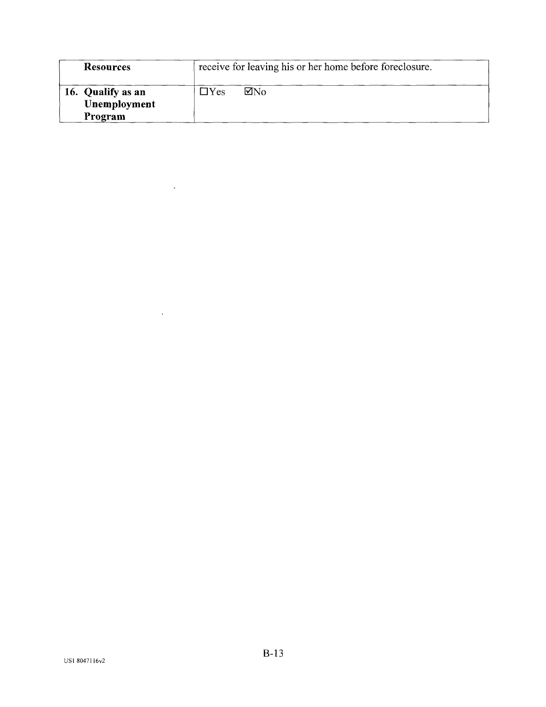| <b>Resources</b>                             | receive for leaving his or her home before foreclosure. |
|----------------------------------------------|---------------------------------------------------------|
| 16. Qualify as an<br>Unemployment<br>Program | ⊠No<br>$\Box$ Yes                                       |

 $\mathcal{L}^{\text{max}}$ 

 $\mathcal{L}^{\text{max}}_{\text{max}}$  , where  $\mathcal{L}^{\text{max}}_{\text{max}}$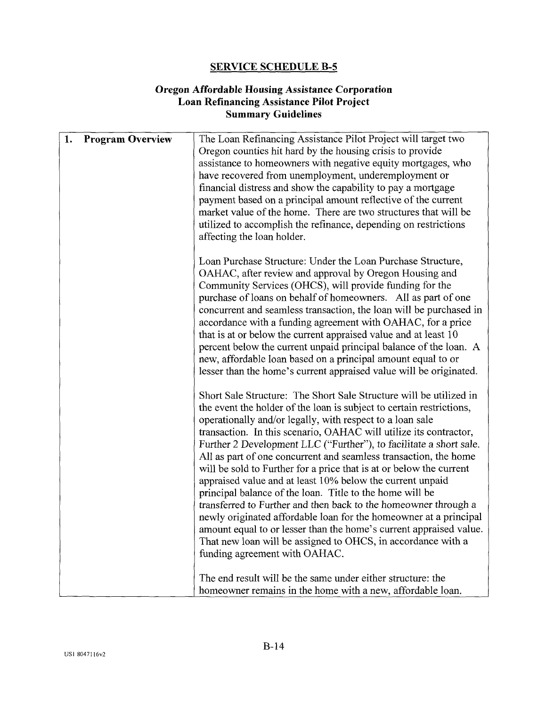#### **Oregon Affordable Housing Assistance Corporation Loan Refinancing Assistance Pilot Project Summary Guidelines**

| 1.<br><b>Program Overview</b> | The Loan Refinancing Assistance Pilot Project will target two<br>Oregon counties hit hard by the housing crisis to provide<br>assistance to homeowners with negative equity mortgages, who<br>have recovered from unemployment, underemployment or<br>financial distress and show the capability to pay a mortgage<br>payment based on a principal amount reflective of the current<br>market value of the home. There are two structures that will be<br>utilized to accomplish the refinance, depending on restrictions<br>affecting the loan holder.                                                                                                                                                                                                                                                                                                                                                                               |
|-------------------------------|---------------------------------------------------------------------------------------------------------------------------------------------------------------------------------------------------------------------------------------------------------------------------------------------------------------------------------------------------------------------------------------------------------------------------------------------------------------------------------------------------------------------------------------------------------------------------------------------------------------------------------------------------------------------------------------------------------------------------------------------------------------------------------------------------------------------------------------------------------------------------------------------------------------------------------------|
|                               | Loan Purchase Structure: Under the Loan Purchase Structure,<br>OAHAC, after review and approval by Oregon Housing and<br>Community Services (OHCS), will provide funding for the<br>purchase of loans on behalf of homeowners. All as part of one<br>concurrent and seamless transaction, the loan will be purchased in<br>accordance with a funding agreement with OAHAC, for a price<br>that is at or below the current appraised value and at least 10<br>percent below the current unpaid principal balance of the loan. A<br>new, affordable loan based on a principal amount equal to or<br>lesser than the home's current appraised value will be originated.                                                                                                                                                                                                                                                                  |
|                               | Short Sale Structure: The Short Sale Structure will be utilized in<br>the event the holder of the loan is subject to certain restrictions,<br>operationally and/or legally, with respect to a loan sale<br>transaction. In this scenario, OAHAC will utilize its contractor,<br>Further 2 Development LLC ("Further"), to facilitate a short sale.<br>All as part of one concurrent and seamless transaction, the home<br>will be sold to Further for a price that is at or below the current<br>appraised value and at least 10% below the current unpaid<br>principal balance of the loan. Title to the home will be<br>transferred to Further and then back to the homeowner through a<br>newly originated affordable loan for the homeowner at a principal<br>amount equal to or lesser than the home's current appraised value.<br>That new loan will be assigned to OHCS, in accordance with a<br>funding agreement with OAHAC. |
|                               | The end result will be the same under either structure: the<br>homeowner remains in the home with a new, affordable loan.                                                                                                                                                                                                                                                                                                                                                                                                                                                                                                                                                                                                                                                                                                                                                                                                             |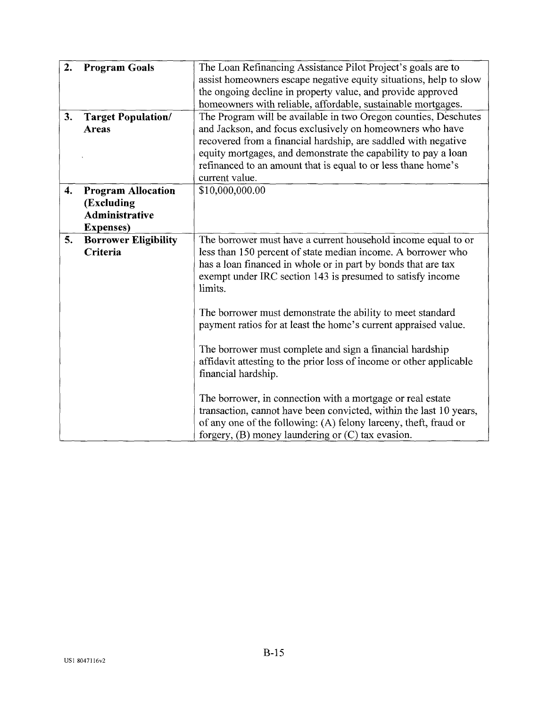| 2.<br>3. | <b>Program Goals</b>                                                                  | The Loan Refinancing Assistance Pilot Project's goals are to<br>assist homeowners escape negative equity situations, help to slow<br>the ongoing decline in property value, and provide approved<br>homeowners with reliable, affordable, sustainable mortgages.<br>The Program will be available in two Oregon counties, Deschutes |
|----------|---------------------------------------------------------------------------------------|-------------------------------------------------------------------------------------------------------------------------------------------------------------------------------------------------------------------------------------------------------------------------------------------------------------------------------------|
|          | <b>Target Population/</b><br><b>Areas</b>                                             | and Jackson, and focus exclusively on homeowners who have<br>recovered from a financial hardship, are saddled with negative<br>equity mortgages, and demonstrate the capability to pay a loan<br>refinanced to an amount that is equal to or less thane home's<br>current value.                                                    |
| 4.       | <b>Program Allocation</b><br>(Excluding<br><b>Administrative</b><br><b>Expenses</b> ) | \$10,000,000.00                                                                                                                                                                                                                                                                                                                     |
| 5.       | <b>Borrower Eligibility</b><br>Criteria                                               | The borrower must have a current household income equal to or<br>less than 150 percent of state median income. A borrower who<br>has a loan financed in whole or in part by bonds that are tax<br>exempt under IRC section 143 is presumed to satisfy income<br>limits.                                                             |
|          |                                                                                       | The borrower must demonstrate the ability to meet standard<br>payment ratios for at least the home's current appraised value.<br>The borrower must complete and sign a financial hardship<br>affidavit attesting to the prior loss of income or other applicable<br>financial hardship.                                             |
|          |                                                                                       | The borrower, in connection with a mortgage or real estate<br>transaction, cannot have been convicted, within the last 10 years,<br>of any one of the following: (A) felony larceny, theft, fraud or<br>forgery, $(B)$ money laundering or $(C)$ tax evasion.                                                                       |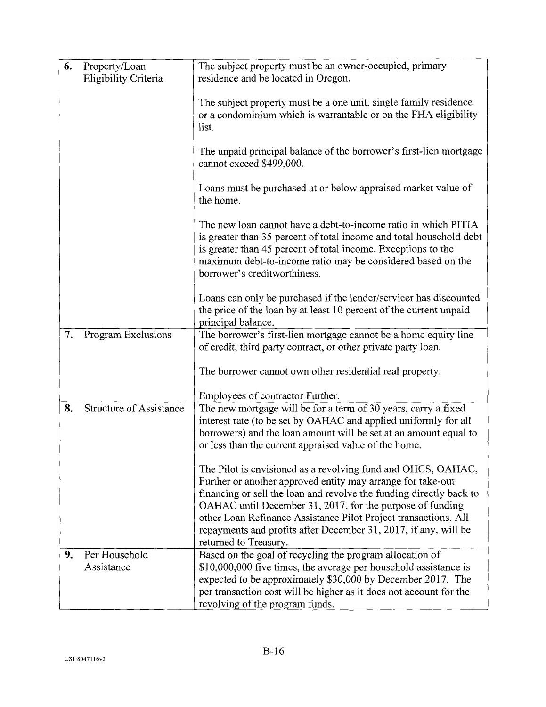| 6. | Property/Loan<br>Eligibility Criteria | The subject property must be an owner-occupied, primary<br>residence and be located in Oregon.                                                                                                                                                                                                                                                                                                                                 |
|----|---------------------------------------|--------------------------------------------------------------------------------------------------------------------------------------------------------------------------------------------------------------------------------------------------------------------------------------------------------------------------------------------------------------------------------------------------------------------------------|
|    |                                       | The subject property must be a one unit, single family residence<br>or a condominium which is warrantable or on the FHA eligibility<br>list.                                                                                                                                                                                                                                                                                   |
|    |                                       | The unpaid principal balance of the borrower's first-lien mortgage<br>cannot exceed \$499,000.                                                                                                                                                                                                                                                                                                                                 |
|    |                                       | Loans must be purchased at or below appraised market value of<br>the home.                                                                                                                                                                                                                                                                                                                                                     |
|    |                                       | The new loan cannot have a debt-to-income ratio in which PITIA<br>is greater than 35 percent of total income and total household debt<br>is greater than 45 percent of total income. Exceptions to the<br>maximum debt-to-income ratio may be considered based on the<br>borrower's creditworthiness.                                                                                                                          |
|    |                                       | Loans can only be purchased if the lender/servicer has discounted<br>the price of the loan by at least 10 percent of the current unpaid<br>principal balance.                                                                                                                                                                                                                                                                  |
| 7. | Program Exclusions                    | The borrower's first-lien mortgage cannot be a home equity line<br>of credit, third party contract, or other private party loan.                                                                                                                                                                                                                                                                                               |
|    |                                       | The borrower cannot own other residential real property.                                                                                                                                                                                                                                                                                                                                                                       |
|    |                                       | Employees of contractor Further.                                                                                                                                                                                                                                                                                                                                                                                               |
| 8. | <b>Structure of Assistance</b>        | The new mortgage will be for a term of 30 years, carry a fixed<br>interest rate (to be set by OAHAC and applied uniformly for all<br>borrowers) and the loan amount will be set at an amount equal to<br>or less than the current appraised value of the home.                                                                                                                                                                 |
|    |                                       | The Pilot is envisioned as a revolving fund and OHCS, OAHAC,<br>Further or another approved entity may arrange for take-out<br>financing or sell the loan and revolve the funding directly back to<br>OAHAC until December 31, 2017, for the purpose of funding<br>other Loan Refinance Assistance Pilot Project transactions. All<br>repayments and profits after December 31, 2017, if any, will be<br>returned to Treasury. |
| 9. | Per Household<br>Assistance           | Based on the goal of recycling the program allocation of<br>\$10,000,000 five times, the average per household assistance is<br>expected to be approximately \$30,000 by December 2017. The<br>per transaction cost will be higher as it does not account for the<br>revolving of the program funds.                                                                                                                           |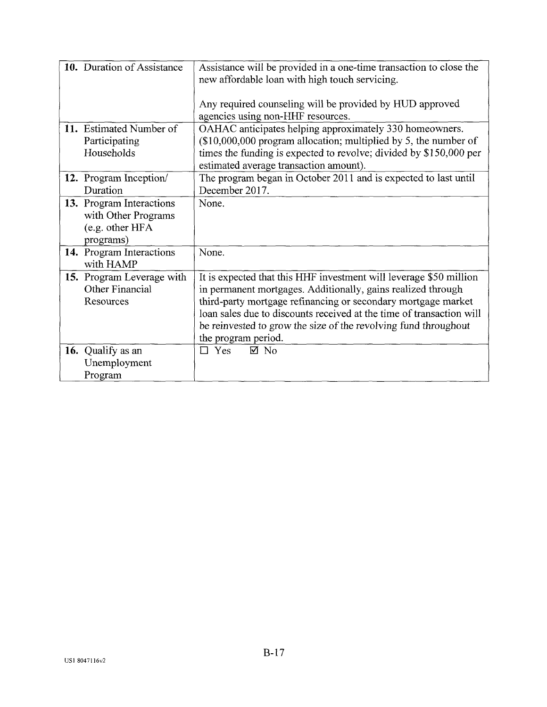| 10. Duration of Assistance                   | Assistance will be provided in a one-time transaction to close the                                                            |
|----------------------------------------------|-------------------------------------------------------------------------------------------------------------------------------|
|                                              | new affordable loan with high touch servicing.                                                                                |
|                                              |                                                                                                                               |
|                                              | Any required counseling will be provided by HUD approved<br>agencies using non-HHF resources.                                 |
| 11. Estimated Number of                      | OAHAC anticipates helping approximately 330 homeowners.                                                                       |
| Participating                                | (\$10,000,000 program allocation; multiplied by 5, the number of                                                              |
| Households                                   | times the funding is expected to revolve; divided by \$150,000 per                                                            |
|                                              | estimated average transaction amount).                                                                                        |
| 12. Program Inception/                       | The program began in October 2011 and is expected to last until                                                               |
| Duration                                     | December 2017.                                                                                                                |
| 13. Program Interactions                     | None.                                                                                                                         |
| with Other Programs                          |                                                                                                                               |
| (e.g. other HFA                              |                                                                                                                               |
| programs)                                    |                                                                                                                               |
| 14. Program Interactions                     | None.                                                                                                                         |
| with HAMP                                    |                                                                                                                               |
| 15. Program Leverage with<br>Other Financial | It is expected that this HHF investment will leverage \$50 million                                                            |
| Resources                                    | in permanent mortgages. Additionally, gains realized through<br>third-party mortgage refinancing or secondary mortgage market |
|                                              | loan sales due to discounts received at the time of transaction will                                                          |
|                                              | be reinvested to grow the size of the revolving fund throughout                                                               |
|                                              | the program period.                                                                                                           |
| 16. Qualify as an                            | $\boxtimes$ No<br>$\Box$ Yes                                                                                                  |
| Unemployment                                 |                                                                                                                               |
| Program                                      |                                                                                                                               |